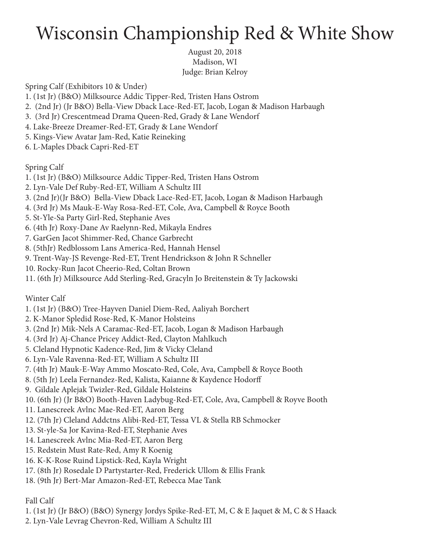## Wisconsin Championship Red & White Show

August 20, 2018 Madison, WI Judge: Brian Kelroy

Spring Calf (Exhibitors 10 & Under)

- 1. (1st Jr) (B&O) Milksource Addic Tipper-Red, Tristen Hans Ostrom
- 2. (2nd Jr) (Jr B&O) Bella-View Dback Lace-Red-ET, Jacob, Logan & Madison Harbaugh
- 3. (3rd Jr) Crescentmead Drama Queen-Red, Grady & Lane Wendorf
- 4. Lake-Breeze Dreamer-Red-ET, Grady & Lane Wendorf
- 5. Kings-View Avatar Jam-Red, Katie Reineking
- 6. L-Maples Dback Capri-Red-ET

## Spring Calf

- 1. (1st Jr) (B&O) Milksource Addic Tipper-Red, Tristen Hans Ostrom
- 2. Lyn-Vale Def Ruby-Red-ET, William A Schultz III
- 3. (2nd Jr)(Jr B&O) Bella-View Dback Lace-Red-ET, Jacob, Logan & Madison Harbaugh
- 4. (3rd Jr) Ms Mauk-E-Way Rosa-Red-ET, Cole, Ava, Campbell & Royce Booth
- 5. St-Yle-Sa Party Girl-Red, Stephanie Aves
- 6. (4th Jr) Roxy-Dane Av Raelynn-Red, Mikayla Endres
- 7. GarGen Jacot Shimmer-Red, Chance Garbrecht
- 8. (5thJr) Redblossom Lans America-Red, Hannah Hensel
- 9. Trent-Way-JS Revenge-Red-ET, Trent Hendrickson & John R Schneller
- 10. Rocky-Run Jacot Cheerio-Red, Coltan Brown
- 11. (6th Jr) Milksource Add Sterling-Red, Gracyln Jo Breitenstein & Ty Jackowski

## Winter Calf

- 1. (1st Jr) (B&O) Tree-Hayven Daniel Diem-Red, Aaliyah Borchert
- 2. K-Manor Spledid Rose-Red, K-Manor Holsteins
- 3. (2nd Jr) Mik-Nels A Caramac-Red-ET, Jacob, Logan & Madison Harbaugh
- 4. (3rd Jr) Aj-Chance Pricey Addict-Red, Clayton Mahlkuch
- 5. Cleland Hypnotic Kadence-Red, Jim & Vicky Cleland
- 6. Lyn-Vale Ravenna-Red-ET, William A Schultz III
- 7. (4th Jr) Mauk-E-Way Ammo Moscato-Red, Cole, Ava, Campbell & Royce Booth
- 8. (5th Jr) Leela Fernandez-Red, Kalista, Kaianne & Kaydence Hodorff
- 9. Gildale Aplejak Twizler-Red, Gildale Holsteins
- 10. (6th Jr) (Jr B&O) Booth-Haven Ladybug-Red-ET, Cole, Ava, Campbell & Royve Booth
- 11. Lanescreek Avlnc Mae-Red-ET, Aaron Berg
- 12. (7th Jr) Cleland Addctns Alibi-Red-ET, Tessa VL & Stella RB Schmocker
- 13. St-yle-Sa Jor Kavina-Red-ET, Stephanie Aves
- 14. Lanescreek Avlnc Mia-Red-ET, Aaron Berg
- 15. Redstein Must Rate-Red, Amy R Koenig
- 16. K-K-Rose Ruind Lipstick-Red, Kayla Wright
- 17. (8th Jr) Rosedale D Partystarter-Red, Frederick Ullom & Ellis Frank
- 18. (9th Jr) Bert-Mar Amazon-Red-ET, Rebecca Mae Tank

## Fall Calf

- 1. (1st Jr) (Jr B&O) (B&O) Synergy Jordys Spike-Red-ET, M, C & E Jaquet & M, C & S Haack
- 2. Lyn-Vale Levrag Chevron-Red, William A Schultz III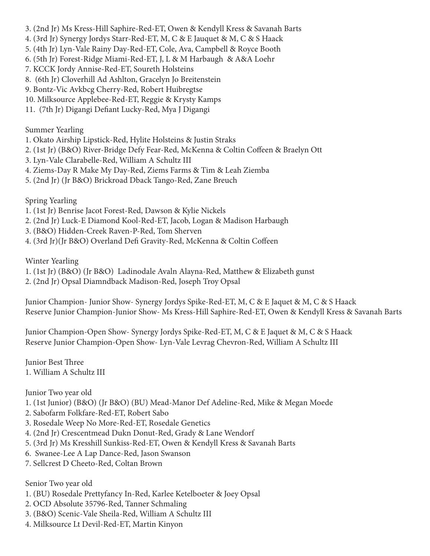- 3. (2nd Jr) Ms Kress-Hill Saphire-Red-ET, Owen & Kendyll Kress & Savanah Barts
- 4. (3rd Jr) Synergy Jordys Starr-Red-ET, M, C & E Jauquet & M, C & S Haack
- 5. (4th Jr) Lyn-Vale Rainy Day-Red-ET, Cole, Ava, Campbell & Royce Booth
- 6. (5th Jr) Forest-Ridge Miami-Red-ET, J, L & M Harbaugh & A&A Loehr
- 7. KCCK Jordy Annise-Red-ET, Soureth Holsteins
- 8. (6th Jr) Cloverhill Ad Ashlton, Gracelyn Jo Breitenstein
- 9. Bontz-Vic Avkbcg Cherry-Red, Robert Huibregtse
- 10. Milksource Applebee-Red-ET, Reggie & Krysty Kamps
- 11. (7th Jr) Digangi Defiant Lucky-Red, Mya J Digangi

Summer Yearling

- 1. Okato Airship Lipstick-Red, Hylite Holsteins & Justin Straks
- 2. (1st Jr) (B&O) River-Bridge Defy Fear-Red, McKenna & Coltin Coffeen & Braelyn Ott
- 3. Lyn-Vale Clarabelle-Red, William A Schultz III
- 4. Ziems-Day R Make My Day-Red, Ziems Farms & Tim & Leah Ziemba
- 5. (2nd Jr) (Jr B&O) Brickroad Dback Tango-Red, Zane Breuch

Spring Yearling

- 1. (1st Jr) Benrise Jacot Forest-Red, Dawson & Kylie Nickels
- 2. (2nd Jr) Luck-E Diamond Kool-Red-ET, Jacob, Logan & Madison Harbaugh
- 3. (B&O) Hidden-Creek Raven-P-Red, Tom Sherven
- 4. (3rd Jr)(Jr B&O) Overland Defi Gravity-Red, McKenna & Coltin Coffeen

Winter Yearling

- 1. (1st Jr) (B&O) (Jr B&O) Ladinodale Avaln Alayna-Red, Matthew & Elizabeth gunst
- 2. (2nd Jr) Opsal Diamndback Madison-Red, Joseph Troy Opsal

Junior Champion- Junior Show- Synergy Jordys Spike-Red-ET, M, C & E Jaquet & M, C & S Haack Reserve Junior Champion-Junior Show- Ms Kress-Hill Saphire-Red-ET, Owen & Kendyll Kress & Savanah Barts

Junior Champion-Open Show- Synergy Jordys Spike-Red-ET, M, C & E Jaquet & M, C & S Haack Reserve Junior Champion-Open Show- Lyn-Vale Levrag Chevron-Red, William A Schultz III

Junior Best Three 1. William A Schultz III

Junior Two year old

- 1. (1st Junior) (B&O) (Jr B&O) (BU) Mead-Manor Def Adeline-Red, Mike & Megan Moede
- 2. Sabofarm Folkfare-Red-ET, Robert Sabo
- 3. Rosedale Weep No More-Red-ET, Rosedale Genetics
- 4. (2nd Jr) Crescentmead Dukn Donut-Red, Grady & Lane Wendorf
- 5. (3rd Jr) Ms Kresshill Sunkiss-Red-ET, Owen & Kendyll Kress & Savanah Barts
- 6. Swanee-Lee A Lap Dance-Red, Jason Swanson
- 7. Sellcrest D Cheeto-Red, Coltan Brown

Senior Two year old

- 1. (BU) Rosedale Prettyfancy In-Red, Karlee Ketelboeter & Joey Opsal
- 2. OCD Absolute 35796-Red, Tanner Schmaling
- 3. (B&O) Scenic-Vale Sheila-Red, William A Schultz III
- 4. Milksource Lt Devil-Red-ET, Martin Kinyon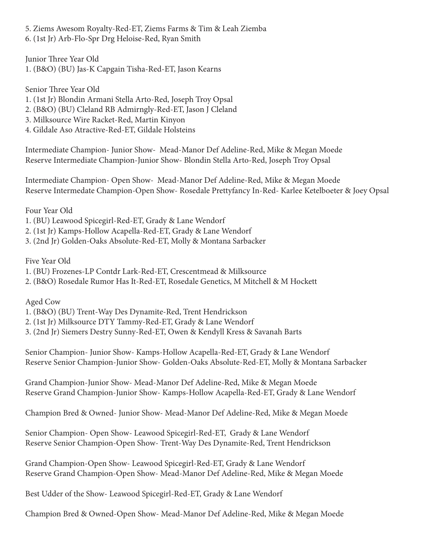5. Ziems Awesom Royalty-Red-ET, Ziems Farms & Tim & Leah Ziemba 6. (1st Jr) Arb-Flo-Spr Drg Heloise-Red, Ryan Smith

Junior Three Year Old 1. (B&O) (BU) Jas-K Capgain Tisha-Red-ET, Jason Kearns

Senior Three Year Old

1. (1st Jr) Blondin Armani Stella Arto-Red, Joseph Troy Opsal

2. (B&O) (BU) Cleland RB Admirngly-Red-ET, Jason J Cleland

3. Milksource Wire Racket-Red, Martin Kinyon

4. Gildale Aso Atractive-Red-ET, Gildale Holsteins

Intermediate Champion- Junior Show- Mead-Manor Def Adeline-Red, Mike & Megan Moede Reserve Intermediate Champion-Junior Show- Blondin Stella Arto-Red, Joseph Troy Opsal

Intermediate Champion- Open Show- Mead-Manor Def Adeline-Red, Mike & Megan Moede Reserve Intermedate Champion-Open Show- Rosedale Prettyfancy In-Red- Karlee Ketelboeter & Joey Opsal

Four Year Old

1. (BU) Leawood Spicegirl-Red-ET, Grady & Lane Wendorf

2. (1st Jr) Kamps-Hollow Acapella-Red-ET, Grady & Lane Wendorf

3. (2nd Jr) Golden-Oaks Absolute-Red-ET, Molly & Montana Sarbacker

Five Year Old

1. (BU) Frozenes-LP Contdr Lark-Red-ET, Crescentmead & Milksource

2. (B&O) Rosedale Rumor Has It-Red-ET, Rosedale Genetics, M Mitchell & M Hockett

Aged Cow

1. (B&O) (BU) Trent-Way Des Dynamite-Red, Trent Hendrickson

2. (1st Jr) Milksource DTY Tammy-Red-ET, Grady & Lane Wendorf

3. (2nd Jr) Siemers Destry Sunny-Red-ET, Owen & Kendyll Kress & Savanah Barts

Senior Champion- Junior Show- Kamps-Hollow Acapella-Red-ET, Grady & Lane Wendorf Reserve Senior Champion-Junior Show- Golden-Oaks Absolute-Red-ET, Molly & Montana Sarbacker

Grand Champion-Junior Show- Mead-Manor Def Adeline-Red, Mike & Megan Moede Reserve Grand Champion-Junior Show- Kamps-Hollow Acapella-Red-ET, Grady & Lane Wendorf

Champion Bred & Owned- Junior Show- Mead-Manor Def Adeline-Red, Mike & Megan Moede

Senior Champion- Open Show- Leawood Spicegirl-Red-ET, Grady & Lane Wendorf Reserve Senior Champion-Open Show- Trent-Way Des Dynamite-Red, Trent Hendrickson

Grand Champion-Open Show- Leawood Spicegirl-Red-ET, Grady & Lane Wendorf Reserve Grand Champion-Open Show- Mead-Manor Def Adeline-Red, Mike & Megan Moede

Best Udder of the Show- Leawood Spicegirl-Red-ET, Grady & Lane Wendorf

Champion Bred & Owned-Open Show- Mead-Manor Def Adeline-Red, Mike & Megan Moede